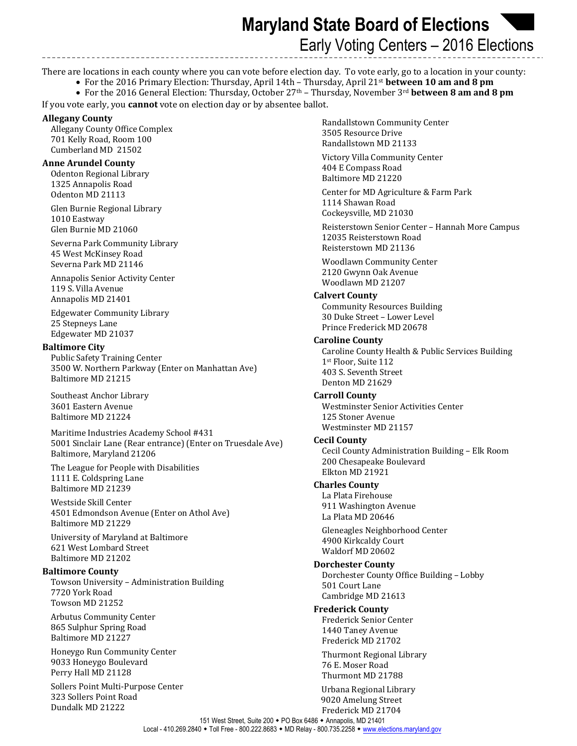**Maryland State Board of Elections**  Early Voting Centers – 2016 Elections

There are locations in each county where you can vote before election day. To vote early, go to a location in your county:

For the 2016 Primary Election: Thursday, April 14th – Thursday, April 21st **between 10 am and 8 pm**

 For the 2016 General Election: Thursday, October 27th – Thursday, November 3rd **between 8 am and 8 pm** If you vote early, you **cannot** vote on election day or by absentee ballot.

### **Allegany County**

Allegany County Office Complex 701 Kelly Road, Room 100 Cumberland MD 21502

## **Anne Arundel County**

Odenton Regional Library 1325 Annapolis Road Odenton MD 21113

Glen Burnie Regional Library 1010 Eastway Glen Burnie MD 21060

Severna Park Community Library 45 West McKinsey Road Severna Park MD 21146

Annapolis Senior Activity Center 119 S. Villa Avenue Annapolis MD 21401

Edgewater Community Library 25 Stepneys Lane Edgewater MD 21037

### **Baltimore City**

Public Safety Training Center 3500 W. Northern Parkway (Enter on Manhattan Ave) Baltimore MD 21215

Southeast Anchor Library 3601 Eastern Avenue Baltimore MD 21224

Maritime Industries Academy School #431 5001 Sinclair Lane (Rear entrance) (Enter on Truesdale Ave) Baltimore, Maryland 21206

The League for People with Disabilities 1111 E. Coldspring Lane Baltimore MD 21239

Westside Skill Center 4501 Edmondson Avenue (Enter on Athol Ave) Baltimore MD 21229

University of Maryland at Baltimore 621 West Lombard Street Baltimore MD 21202

#### **Baltimore County**

Towson University – Administration Building 7720 York Road Towson MD 21252

Arbutus Community Center 865 Sulphur Spring Road Baltimore MD 21227

Honeygo Run Community Center 9033 Honeygo Boulevard Perry Hall MD 21128

Sollers Point Multi-Purpose Center 323 Sollers Point Road Dundalk MD 21222

Randallstown Community Center 3505 Resource Drive Randallstown MD 21133

Victory Villa Community Center 404 E Compass Road Baltimore MD 21220

Center for MD Agriculture & Farm Park 1114 Shawan Road Cockeysville, MD 21030

Reisterstown Senior Center – Hannah More Campus 12035 Reisterstown Road Reisterstown MD 21136

Woodlawn Community Center 2120 Gwynn Oak Avenue Woodlawn MD 21207

### **Calvert County**

Community Resources Building 30 Duke Street – Lower Level Prince Frederick MD 20678

### **Caroline County**

Caroline County Health & Public Services Building 1st Floor, Suite 112 403 S. Seventh Street Denton MD 21629

### **Carroll County**

Westminster Senior Activities Center 125 Stoner Avenue Westminster MD 21157

### **Cecil County**

Cecil County Administration Building – Elk Room 200 Chesapeake Boulevard Elkton MD 21921

### **Charles County**

La Plata Firehouse 911 Washington Avenue La Plata MD 20646

Gleneagles Neighborhood Center 4900 Kirkcaldy Court Waldorf MD 20602

### **Dorchester County**

Dorchester County Office Building – Lobby 501 Court Lane Cambridge MD 21613

### **Frederick County**

Frederick Senior Center 1440 Taney Avenue Frederick MD 21702

Thurmont Regional Library 76 E. Moser Road Thurmont MD 21788

 Urbana Regional Library 9020 Amelung Street Frederick MD 21704